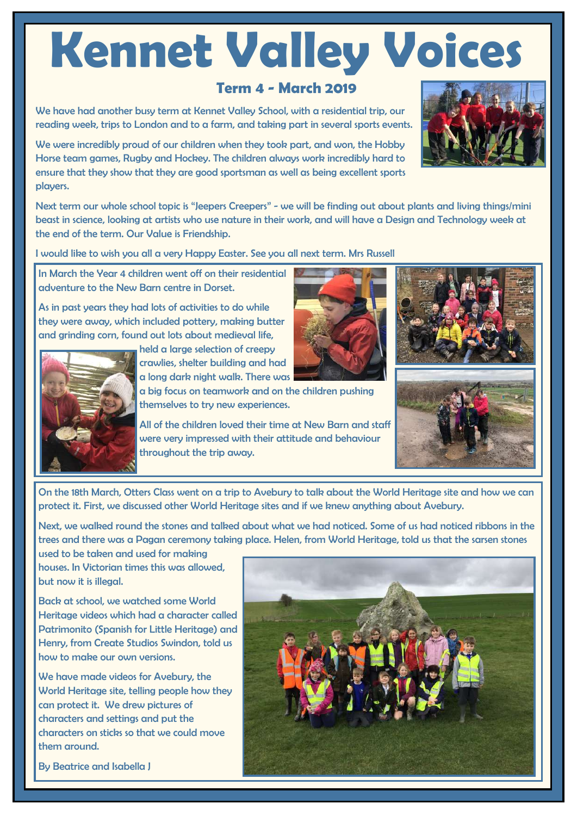# **Kennet Valley Voices**

## **Term 4 - March 2019**

We have had another busy term at Kennet Valley School, with a residential trip, our reading week, trips to London and to a farm, and taking part in several sports events.

We were incredibly proud of our children when they took part, and won, the Hobby Horse team games, Rugby and Hockey. The children always work incredibly hard to ensure that they show that they are good sportsman as well as being excellent sports players.

Next term our whole school topic is "Jeepers Creepers" - we will be finding out about plants and living things/mini beast in science, looking at artists who use nature in their work, and will have a Design and Technology week at the end of the term. Our Value is Friendship.

I would like to wish you all a very Happy Easter. See you all next term. Mrs Russell

In March the Year 4 children went off on their residential adventure to the New Barn centre in Dorset.

As in past years they had lots of activities to do while they were away, which included pottery, making butter and grinding corn, found out lots about medieval life,

held a large selection of creepy crawlies, shelter building and had

a long dark night walk. There was a big focus on teamwork and on the children pushing

themselves to try new experiences.

All of the children loved their time at New Barn and staff were very impressed with their attitude and behaviour throughout the trip away.

On the 18th March, Otters Class went on a trip to Avebury to talk about the World Heritage site and how we can protect it. First, we discussed other World Heritage sites and if we knew anything about Avebury.

Next, we walked round the stones and talked about what we had noticed. Some of us had noticed ribbons in the trees and there was a Pagan ceremony taking place. Helen, from World Heritage, told us that the sarsen stones

used to be taken and used for making houses. In Victorian times this was allowed, but now it is illegal.

Back at school, we watched some World Heritage videos which had a character called Patrimonito (Spanish for Little Heritage) and Henry, from Create Studios Swindon, told us how to make our own versions.

We have made videos for Avebury, the World Heritage site, telling people how they can protect it. We drew pictures of characters and settings and put the characters on sticks so that we could move them around.

By Beatrice and Isabella J









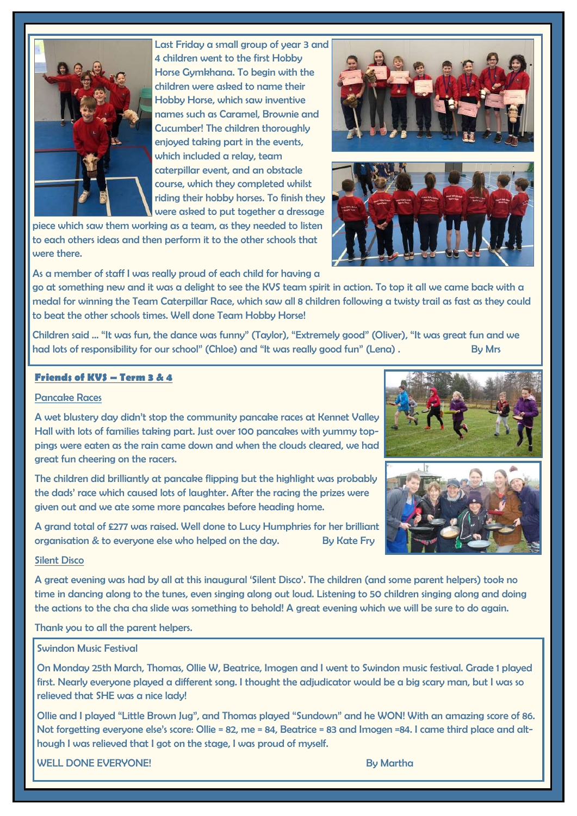

Last Friday a small group of year 3 and 4 children went to the first Hobby Horse Gymkhana. To begin with the children were asked to name their Hobby Horse, which saw inventive names such as Caramel, Brownie and Cucumber! The children thoroughly enjoyed taking part in the events, which included a relay, team caterpillar event, and an obstacle course, which they completed whilst riding their hobby horses. To finish they were asked to put together a dressage

piece which saw them working as a team, as they needed to listen to each others ideas and then perform it to the other schools that were there.



go at something new and it was a delight to see the KVS team spirit in action. To top it all we came back with a medal for winning the Team Caterpillar Race, which saw all 8 children following a twisty trail as fast as they could to beat the other schools times. Well done Team Hobby Horse!

Children said … "It was fun, the dance was funny" (Taylor), "Extremely good" (Oliver), "It was great fun and we had lots of responsibility for our school" (Chloe) and "It was really good fun" (Lena). By Mrs

## **Friends of KVS – Term 3 & 4**

## Pancake Races

A wet blustery day didn't stop the community pancake races at Kennet Valley Hall with lots of families taking part. Just over 100 pancakes with yummy toppings were eaten as the rain came down and when the clouds cleared, we had great fun cheering on the racers.

The children did brilliantly at pancake flipping but the highlight was probably the dads' race which caused lots of laughter. After the racing the prizes were aiven out and we ate some more pancakes before heading home.

A grand total of £277 was raised. Well done to Lucy Humphries for her brilliant organisation & to everyone else who helped on the day. By Kate Fry

## Silent Disco

A great evening was had by all at this inaugural 'Silent Disco'. The children (and some parent helpers) took no time in dancing along to the tunes, even singing along out loud. Listening to 50 children singing along and doing the actions to the cha cha slide was something to behold! A great evening which we will be sure to do again.

Thank you to all the parent helpers.

## Swindon Music Festival

On Monday 25th March, Thomas, Ollie W, Beatrice, Imogen and I went to Swindon music festival. Grade 1 played first. Nearly everyone played a different song. I thought the adjudicator would be a big scary man, but I was so relieved that SHE was a nice lady!

Ollie and I played "Little Brown Jug", and Thomas played "Sundown" and he WON! With an amazing score of 86. Not forgetting everyone else's score: Ollie = 82, me = 84, Beatrice = 83 and Imogen =84. I came third place and although I was relieved that I got on the stage, I was proud of myself.

WELL DONE EVERYONE! By Martha Annual Methods and the study of the study of the study of the study of the study of the study of the study of the study of the study of the study of the study of the study of the study of the





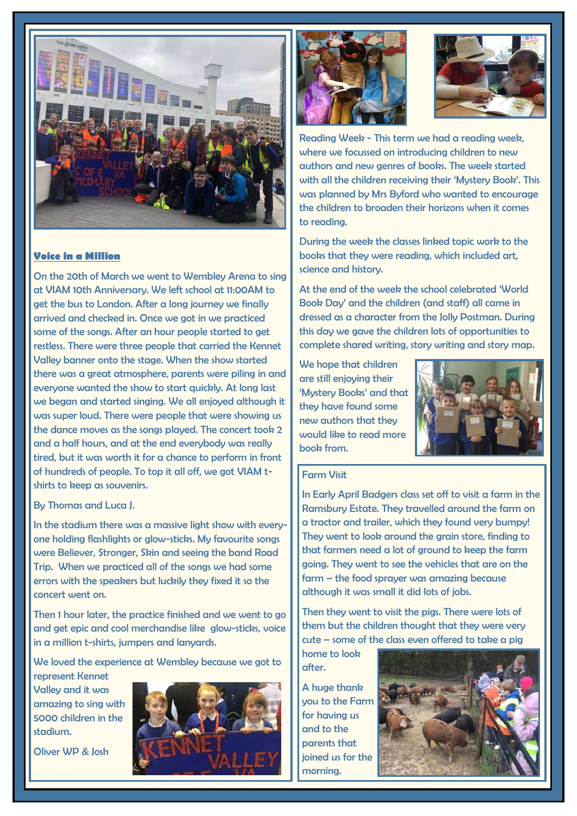

## **Voice in a Million**

On the 20th of March we went to Wembley Arena to sing at VIAM 10th Anniversary. We left school at 11:00AM to get the bus to London. After a long journey we finally arrived and checked in. Once we got in we practiced some of the songs. After an hour people started to get restless. There were three people that carried the Kennet Valley banner onto the stage. When the show started there was a great atmosphere, parents were piling in and everyone wanted the show to start quickly. At long last we began and started singing. We all enjoyed although it was super loud. There were people that were showing us the dance moves as the songs played. The concert took 2 and a half hours, and at the end everybody was really tired, but it was worth it for a chance to perform in front of hundreds of people. To top it all off, we got VIAM tshirts to keep as souvenirs.

## By Thomas and Luca J.

In the stadium there was a massive light show with everyone holding flashlights or glow-sticks. My favourite songs were Believer, Stronger, Skin and seeing the band Road Trip. When we practiced all of the songs we had some errors with the speakers but luckily they fixed it so the concert went on.

Then 1 hour later, the practice finished and we went to go and get epic and cool merchandise like glow-sticks, voice in a million t-shirts, jumpers and lanyards.

We loved the experience at Wembley because we got to represent Kennet

Valley and it was amazing to sing with 5000 children in the stadium.

Oliver WP & Josh







Reading Week - This term we had a reading week, where we focussed on introducing children to new authors and new genres of books. The week started with all the children receiving their 'Mystery Book'. This was planned by Mrs Byford who wanted to encourage the children to broaden their horizons when it comes to reading.

During the week the classes linked topic work to the books that they were reading, which included art, science and history.

At the end of the week the school celebrated 'World Book Day' and the children (and staff) all came in dressed as a character from the Jolly Postman. During this day we gave the children lots of opportunities to complete shared writing, story writing and story map.

We hope that children are still enjoying their 'Mystery Books' and that they have found some new authors that they would like to read more book from.



### Farm Visit

In Early April Badgers class set off to visit a farm in the Ramsbury Estate. They travelled around the farm on a tractor and trailer, which they found very bumpy! They went to look around the grain store, finding to that farmers need a lot of ground to keep the farm going. They went to see the vehicles that are on the farm – the food sprayer was amazing because although it was small it did lots of jobs.

Then they went to visit the pigs. There were lots of them but the children thought that they were very cute – some of the class even offered to take a pig

home to look after.

A huge thank you to the Farm for having us and to the parents that joined us for the morning.